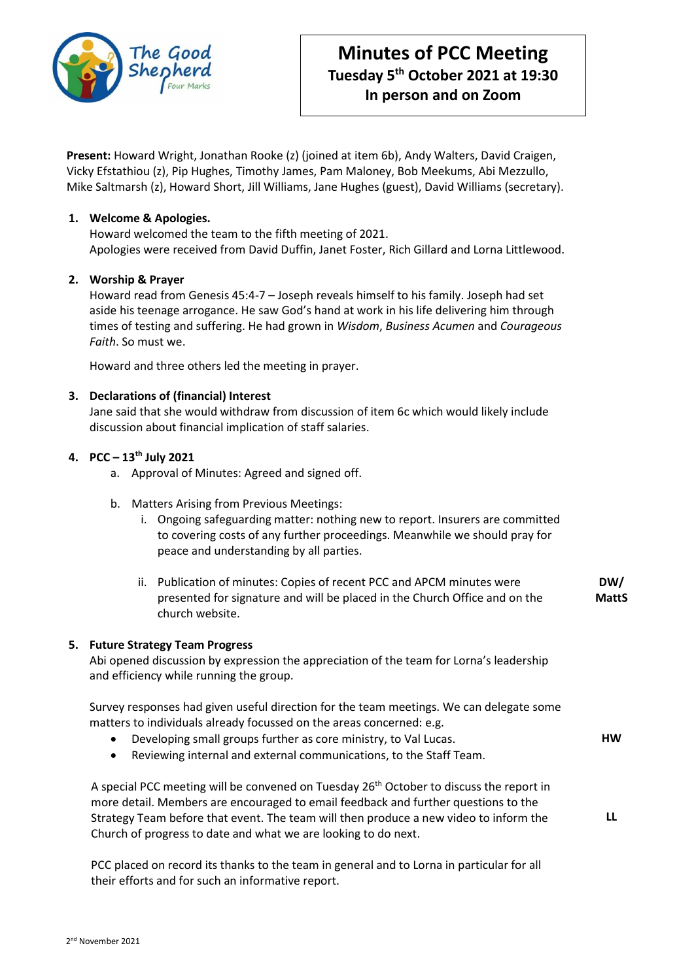

**Present:** Howard Wright, Jonathan Rooke (z) (joined at item 6b), Andy Walters, David Craigen, Vicky Efstathiou (z), Pip Hughes, Timothy James, Pam Maloney, Bob Meekums, Abi Mezzullo, Mike Saltmarsh (z), Howard Short, Jill Williams, Jane Hughes (guest), David Williams (secretary).

# **1. Welcome & Apologies.**

Howard welcomed the team to the fifth meeting of 2021. Apologies were received from David Duffin, Janet Foster, Rich Gillard and Lorna Littlewood.

### **2. Worship & Prayer**

Howard read from Genesis 45:4-7 – Joseph reveals himself to his family. Joseph had set aside his teenage arrogance. He saw God's hand at work in his life delivering him through times of testing and suffering. He had grown in *Wisdom*, *Business Acumen* and *Courageous Faith*. So must we.

Howard and three others led the meeting in prayer.

### **3. Declarations of (financial) Interest**

Jane said that she would withdraw from discussion of item 6c which would likely include discussion about financial implication of staff salaries.

# **4. PCC – 13th July 2021**

- a. Approval of Minutes: Agreed and signed off.
- b. Matters Arising from Previous Meetings:
	- i. Ongoing safeguarding matter: nothing new to report. Insurers are committed to covering costs of any further proceedings. Meanwhile we should pray for peace and understanding by all parties.
	- ii. Publication of minutes: Copies of recent PCC and APCM minutes were presented for signature and will be placed in the Church Office and on the church website. **DW/ MattS**

#### **5. Future Strategy Team Progress**

Abi opened discussion by expression the appreciation of the team for Lorna's leadership and efficiency while running the group.

Survey responses had given useful direction for the team meetings. We can delegate some matters to individuals already focussed on the areas concerned: e.g.

• Developing small groups further as core ministry, to Val Lucas. **HW**

**LL**

• Reviewing internal and external communications, to the Staff Team.

A special PCC meeting will be convened on Tuesday 26th October to discuss the report in more detail. Members are encouraged to email feedback and further questions to the Strategy Team before that event. The team will then produce a new video to inform the Church of progress to date and what we are looking to do next.

PCC placed on record its thanks to the team in general and to Lorna in particular for all their efforts and for such an informative report.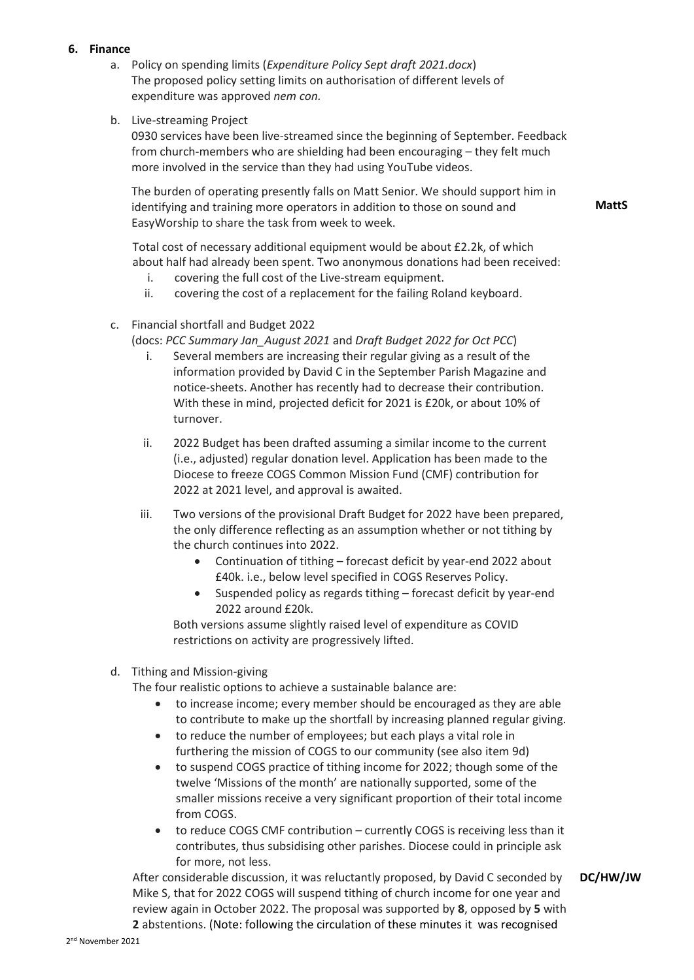# **6. Finance**

- a. Policy on spending limits (*Expenditure Policy Sept draft 2021.docx*) The proposed policy setting limits on authorisation of different levels of expenditure was approved *nem con.*
- b. Live-streaming Project

0930 services have been live-streamed since the beginning of September. Feedback from church-members who are shielding had been encouraging – they felt much more involved in the service than they had using YouTube videos.

The burden of operating presently falls on Matt Senior. We should support him in identifying and training more operators in addition to those on sound and EasyWorship to share the task from week to week.

**MattS**

Total cost of necessary additional equipment would be about £2.2k, of which about half had already been spent. Two anonymous donations had been received:

- i. covering the full cost of the Live-stream equipment.
- ii. covering the cost of a replacement for the failing Roland keyboard.
- c. Financial shortfall and Budget 2022

(docs: *PCC Summary Jan\_August 2021* and *Draft Budget 2022 for Oct PCC*)

- i. Several members are increasing their regular giving as a result of the information provided by David C in the September Parish Magazine and notice-sheets. Another has recently had to decrease their contribution. With these in mind, projected deficit for 2021 is £20k, or about 10% of turnover.
- ii. 2022 Budget has been drafted assuming a similar income to the current (i.e., adjusted) regular donation level. Application has been made to the Diocese to freeze COGS Common Mission Fund (CMF) contribution for 2022 at 2021 level, and approval is awaited.
- iii. Two versions of the provisional Draft Budget for 2022 have been prepared, the only difference reflecting as an assumption whether or not tithing by the church continues into 2022.
	- Continuation of tithing forecast deficit by year-end 2022 about £40k. i.e., below level specified in COGS Reserves Policy.
	- Suspended policy as regards tithing forecast deficit by year-end 2022 around £20k.

Both versions assume slightly raised level of expenditure as COVID restrictions on activity are progressively lifted.

# d. Tithing and Mission-giving

The four realistic options to achieve a sustainable balance are:

- to increase income; every member should be encouraged as they are able to contribute to make up the shortfall by increasing planned regular giving.
- to reduce the number of employees; but each plays a vital role in furthering the mission of COGS to our community (see also item 9d)
- to suspend COGS practice of tithing income for 2022; though some of the twelve 'Missions of the month' are nationally supported, some of the smaller missions receive a very significant proportion of their total income from COGS.
- to reduce COGS CMF contribution currently COGS is receiving less than it contributes, thus subsidising other parishes. Diocese could in principle ask for more, not less.

After considerable discussion, it was reluctantly proposed, by David C seconded by Mike S, that for 2022 COGS will suspend tithing of church income for one year and review again in October 2022. The proposal was supported by **8**, opposed by **5** with **2** abstentions. (Note: following the circulation of these minutes it was recognised **DC/HW/JW**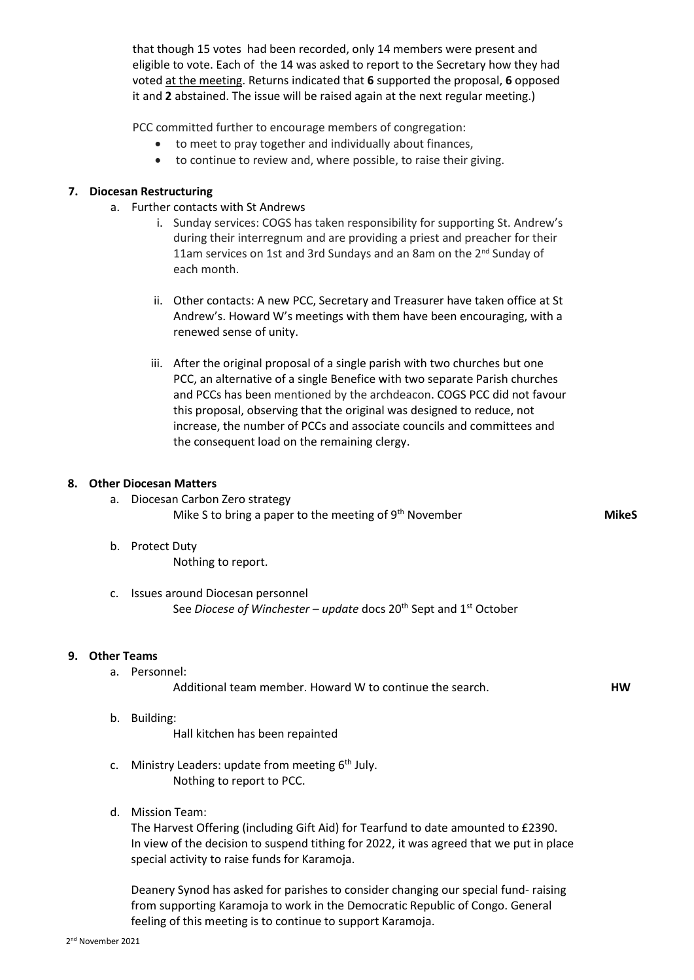that though 15 votes had been recorded, only 14 members were present and eligible to vote. Each of the 14 was asked to report to the Secretary how they had voted at the meeting. Returns indicated that **6** supported the proposal, **6** opposed it and **2** abstained. The issue will be raised again at the next regular meeting.)

PCC committed further to encourage members of congregation:

- to meet to pray together and individually about finances,
- to continue to review and, where possible, to raise their giving.

### **7. Diocesan Restructuring**

- a. Further contacts with St Andrews
	- i. Sunday services: COGS has taken responsibility for supporting St. Andrew's during their interregnum and are providing a priest and preacher for their 11am services on 1st and 3rd Sundays and an 8am on the 2<sup>nd</sup> Sunday of each month.
	- ii. Other contacts: A new PCC, Secretary and Treasurer have taken office at St Andrew's. Howard W's meetings with them have been encouraging, with a renewed sense of unity.
	- iii. After the original proposal of a single parish with two churches but one PCC, an alternative of a single Benefice with two separate Parish churches and PCCs has been mentioned by the archdeacon. COGS PCC did not favour this proposal, observing that the original was designed to reduce, not increase, the number of PCCs and associate councils and committees and the consequent load on the remaining clergy.

#### **8. Other Diocesan Matters**

- a. Diocesan Carbon Zero strategy Mike S to bring a paper to the meeting of  $9<sup>th</sup>$  November
- b. Protect Duty Nothing to report.
- c. Issues around Diocesan personnel See *Diocese of Winchester – update* docs 20th Sept and 1st October

#### **9. Other Teams**

a. Personnel:

Additional team member. Howard W to continue the search.

b. Building:

Hall kitchen has been repainted

- c. Ministry Leaders: update from meeting  $6<sup>th</sup>$  July. Nothing to report to PCC.
- d. Mission Team:

The Harvest Offering (including Gift Aid) for Tearfund to date amounted to £2390. In view of the decision to suspend tithing for 2022, it was agreed that we put in place special activity to raise funds for Karamoja.

Deanery Synod has asked for parishes to consider changing our special fund- raising from supporting Karamoja to work in the Democratic Republic of Congo. General feeling of this meeting is to continue to support Karamoja.

**MikeS**

**HW**